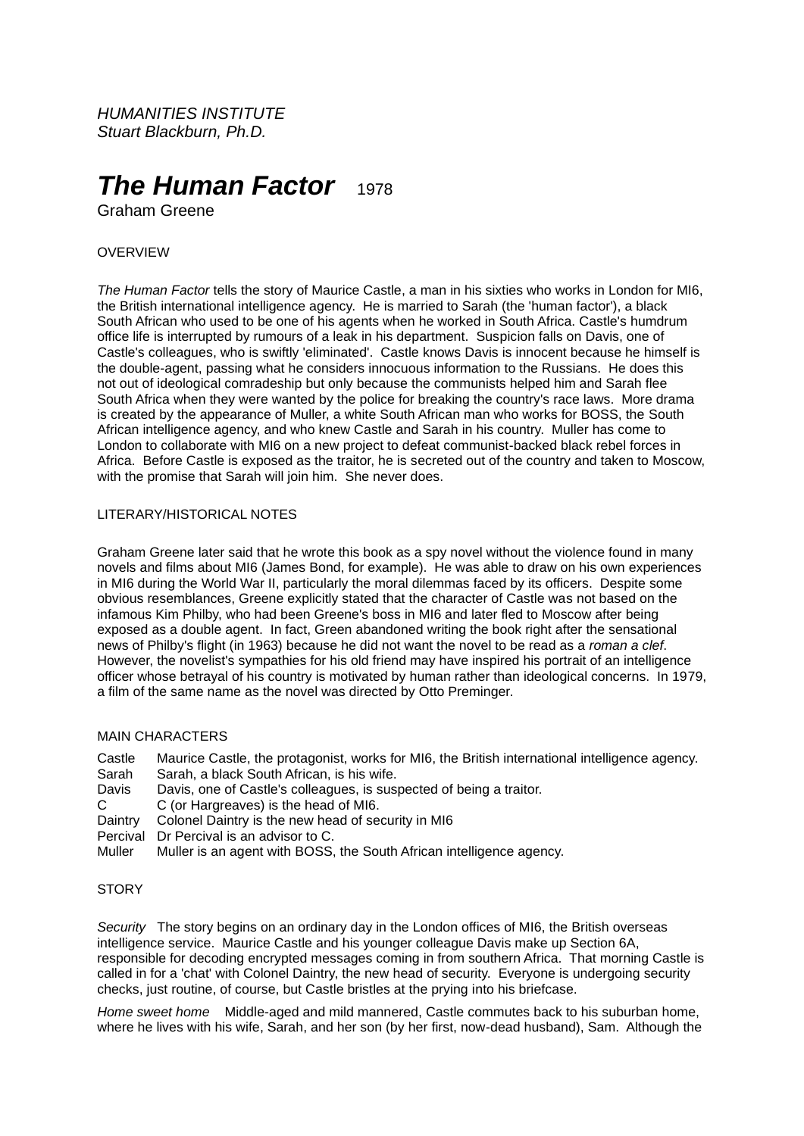*HUMANITIES INSTITUTE Stuart Blackburn, Ph.D.*

# **The Human Factor** 1978

Graham Greene

## OVERVIEW

*The Human Factor* tells the story of Maurice Castle, a man in his sixties who works in London for MI6, the British international intelligence agency. He is married to Sarah (the 'human factor'), a black South African who used to be one of his agents when he worked in South Africa. Castle's humdrum office life is interrupted by rumours of a leak in his department. Suspicion falls on Davis, one of Castle's colleagues, who is swiftly 'eliminated'. Castle knows Davis is innocent because he himself is the double-agent, passing what he considers innocuous information to the Russians. He does this not out of ideological comradeship but only because the communists helped him and Sarah flee South Africa when they were wanted by the police for breaking the country's race laws. More drama is created by the appearance of Muller, a white South African man who works for BOSS, the South African intelligence agency, and who knew Castle and Sarah in his country. Muller has come to London to collaborate with MI6 on a new project to defeat communist-backed black rebel forces in Africa. Before Castle is exposed as the traitor, he is secreted out of the country and taken to Moscow, with the promise that Sarah will join him. She never does.

# LITERARY/HISTORICAL NOTES

Graham Greene later said that he wrote this book as a spy novel without the violence found in many novels and films about MI6 (James Bond, for example). He was able to draw on his own experiences in MI6 during the World War II, particularly the moral dilemmas faced by its officers. Despite some obvious resemblances, Greene explicitly stated that the character of Castle was not based on the infamous Kim Philby, who had been Greene's boss in MI6 and later fled to Moscow after being exposed as a double agent. In fact, Green abandoned writing the book right after the sensational news of Philby's flight (in 1963) because he did not want the novel to be read as a *roman a clef*. However, the novelist's sympathies for his old friend may have inspired his portrait of an intelligence officer whose betrayal of his country is motivated by human rather than ideological concerns. In 1979, a film of the same name as the novel was directed by Otto Preminger.

## MAIN CHARACTERS

Castle Maurice Castle, the protagonist, works for MI6, the British international intelligence agency.<br>Sarah Sarah a black South African is his wife

- Sarah Sarah, a black South African, is his wife.
- Davis, one of Castle's colleagues, is suspected of being a traitor.
- C C (or Hargreaves) is the head of MI6.
- Daintry Colonel Daintry is the new head of security in MI6
- Percival Dr Percival is an advisor to C.
- Muller Muller is an agent with BOSS, the South African intelligence agency.

#### **STORY**

*Security* The story begins on an ordinary day in the London offices of MI6, the British overseas intelligence service. Maurice Castle and his younger colleague Davis make up Section 6A, responsible for decoding encrypted messages coming in from southern Africa. That morning Castle is called in for a 'chat' with Colonel Daintry, the new head of security. Everyone is undergoing security checks, just routine, of course, but Castle bristles at the prying into his briefcase.

*Home sweet home* Middle-aged and mild mannered, Castle commutes back to his suburban home, where he lives with his wife, Sarah, and her son (by her first, now-dead husband), Sam. Although the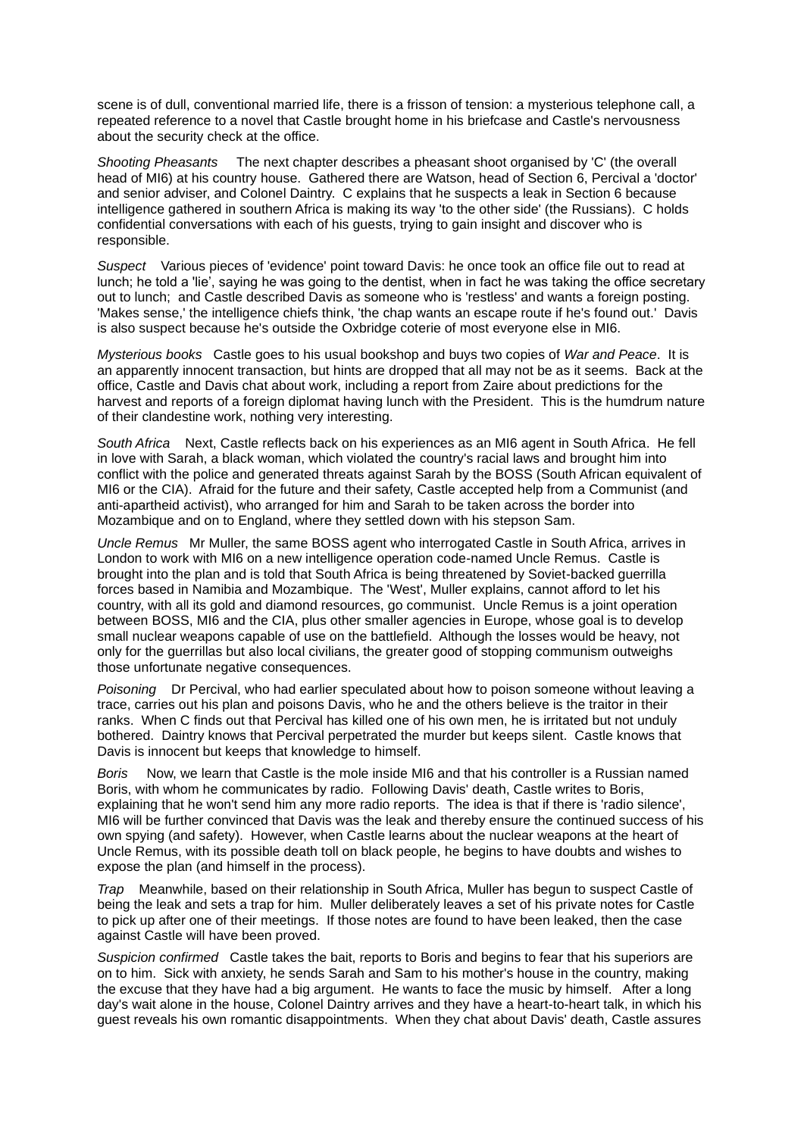scene is of dull, conventional married life, there is a frisson of tension: a mysterious telephone call, a repeated reference to a novel that Castle brought home in his briefcase and Castle's nervousness about the security check at the office.

*Shooting Pheasants* The next chapter describes a pheasant shoot organised by 'C' (the overall head of MI6) at his country house. Gathered there are Watson, head of Section 6, Percival a 'doctor' and senior adviser, and Colonel Daintry. C explains that he suspects a leak in Section 6 because intelligence gathered in southern Africa is making its way 'to the other side' (the Russians). C holds confidential conversations with each of his guests, trying to gain insight and discover who is responsible.

*Suspect* Various pieces of 'evidence' point toward Davis: he once took an office file out to read at lunch; he told a 'lie', saying he was going to the dentist, when in fact he was taking the office secretary out to lunch; and Castle described Davis as someone who is 'restless' and wants a foreign posting. 'Makes sense,' the intelligence chiefs think, 'the chap wants an escape route if he's found out.' Davis is also suspect because he's outside the Oxbridge coterie of most everyone else in MI6.

*Mysterious books* Castle goes to his usual bookshop and buys two copies of *War and Peace*. It is an apparently innocent transaction, but hints are dropped that all may not be as it seems. Back at the office, Castle and Davis chat about work, including a report from Zaire about predictions for the harvest and reports of a foreign diplomat having lunch with the President. This is the humdrum nature of their clandestine work, nothing very interesting.

*South Africa* Next, Castle reflects back on his experiences as an MI6 agent in South Africa. He fell in love with Sarah, a black woman, which violated the country's racial laws and brought him into conflict with the police and generated threats against Sarah by the BOSS (South African equivalent of MI6 or the CIA). Afraid for the future and their safety, Castle accepted help from a Communist (and anti-apartheid activist), who arranged for him and Sarah to be taken across the border into Mozambique and on to England, where they settled down with his stepson Sam.

*Uncle Remus* Mr Muller, the same BOSS agent who interrogated Castle in South Africa, arrives in London to work with MI6 on a new intelligence operation code-named Uncle Remus. Castle is brought into the plan and is told that South Africa is being threatened by Soviet-backed guerrilla forces based in Namibia and Mozambique. The 'West', Muller explains, cannot afford to let his country, with all its gold and diamond resources, go communist. Uncle Remus is a joint operation between BOSS, MI6 and the CIA, plus other smaller agencies in Europe, whose goal is to develop small nuclear weapons capable of use on the battlefield. Although the losses would be heavy, not only for the guerrillas but also local civilians, the greater good of stopping communism outweighs those unfortunate negative consequences.

*Poisoning* Dr Percival, who had earlier speculated about how to poison someone without leaving a trace, carries out his plan and poisons Davis, who he and the others believe is the traitor in their ranks. When C finds out that Percival has killed one of his own men, he is irritated but not unduly bothered. Daintry knows that Percival perpetrated the murder but keeps silent. Castle knows that Davis is innocent but keeps that knowledge to himself.

*Boris* Now, we learn that Castle is the mole inside MI6 and that his controller is a Russian named Boris, with whom he communicates by radio. Following Davis' death, Castle writes to Boris, explaining that he won't send him any more radio reports. The idea is that if there is 'radio silence', MI6 will be further convinced that Davis was the leak and thereby ensure the continued success of his own spying (and safety). However, when Castle learns about the nuclear weapons at the heart of Uncle Remus, with its possible death toll on black people, he begins to have doubts and wishes to expose the plan (and himself in the process).

*Trap* Meanwhile, based on their relationship in South Africa, Muller has begun to suspect Castle of being the leak and sets a trap for him. Muller deliberately leaves a set of his private notes for Castle to pick up after one of their meetings. If those notes are found to have been leaked, then the case against Castle will have been proved.

*Suspicion confirmed* Castle takes the bait, reports to Boris and begins to fear that his superiors are on to him. Sick with anxiety, he sends Sarah and Sam to his mother's house in the country, making the excuse that they have had a big argument. He wants to face the music by himself. After a long day's wait alone in the house, Colonel Daintry arrives and they have a heart-to-heart talk, in which his guest reveals his own romantic disappointments. When they chat about Davis' death, Castle assures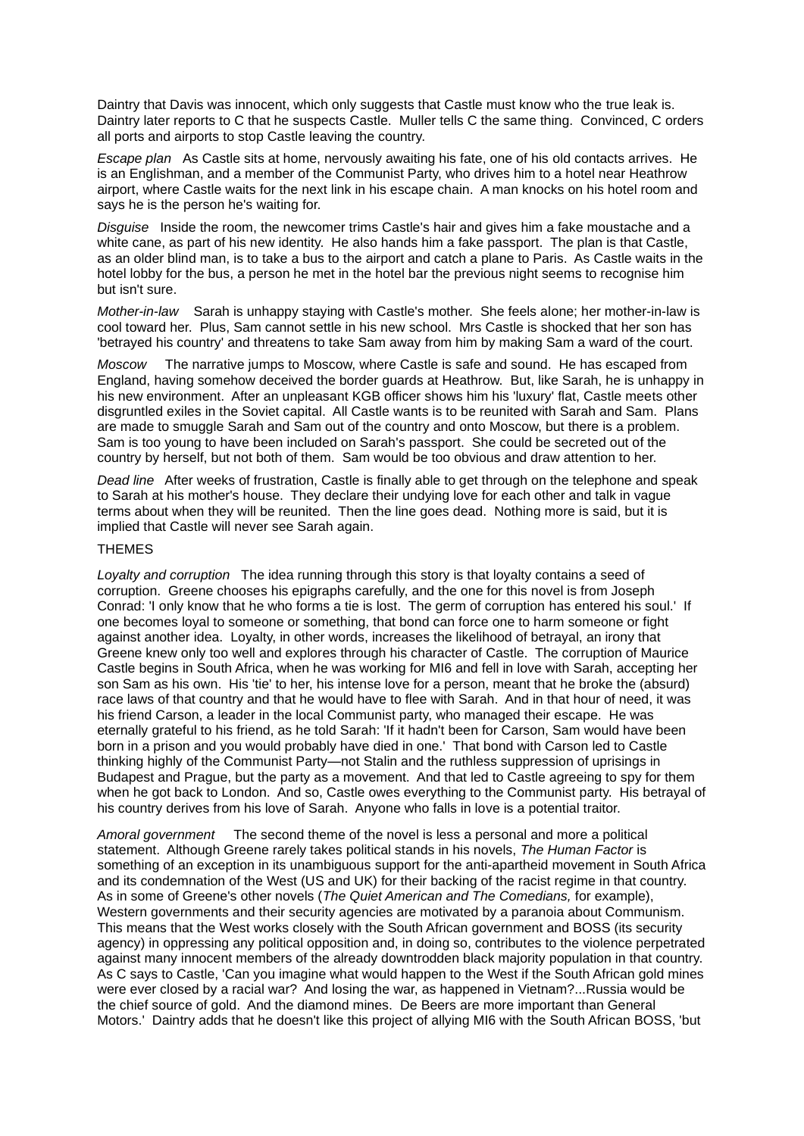Daintry that Davis was innocent, which only suggests that Castle must know who the true leak is. Daintry later reports to C that he suspects Castle. Muller tells C the same thing. Convinced, C orders all ports and airports to stop Castle leaving the country.

*Escape plan* As Castle sits at home, nervously awaiting his fate, one of his old contacts arrives. He is an Englishman, and a member of the Communist Party, who drives him to a hotel near Heathrow airport, where Castle waits for the next link in his escape chain. A man knocks on his hotel room and says he is the person he's waiting for.

*Disguise* Inside the room, the newcomer trims Castle's hair and gives him a fake moustache and a white cane, as part of his new identity. He also hands him a fake passport. The plan is that Castle, as an older blind man, is to take a bus to the airport and catch a plane to Paris. As Castle waits in the hotel lobby for the bus, a person he met in the hotel bar the previous night seems to recognise him but isn't sure.

*Mother-in-law* Sarah is unhappy staying with Castle's mother. She feels alone; her mother-in-law is cool toward her. Plus, Sam cannot settle in his new school. Mrs Castle is shocked that her son has 'betrayed his country' and threatens to take Sam away from him by making Sam a ward of the court.

*Moscow* The narrative jumps to Moscow, where Castle is safe and sound. He has escaped from England, having somehow deceived the border guards at Heathrow. But, like Sarah, he is unhappy in his new environment. After an unpleasant KGB officer shows him his 'luxury' flat, Castle meets other disgruntled exiles in the Soviet capital. All Castle wants is to be reunited with Sarah and Sam. Plans are made to smuggle Sarah and Sam out of the country and onto Moscow, but there is a problem. Sam is too young to have been included on Sarah's passport. She could be secreted out of the country by herself, but not both of them. Sam would be too obvious and draw attention to her.

*Dead line* After weeks of frustration, Castle is finally able to get through on the telephone and speak to Sarah at his mother's house. They declare their undying love for each other and talk in vague terms about when they will be reunited. Then the line goes dead. Nothing more is said, but it is implied that Castle will never see Sarah again.

#### THEMES

*Loyalty and corruption* The idea running through this story is that loyalty contains a seed of corruption. Greene chooses his epigraphs carefully, and the one for this novel is from Joseph Conrad: 'I only know that he who forms a tie is lost. The germ of corruption has entered his soul.' If one becomes loyal to someone or something, that bond can force one to harm someone or fight against another idea. Loyalty, in other words, increases the likelihood of betrayal, an irony that Greene knew only too well and explores through his character of Castle. The corruption of Maurice Castle begins in South Africa, when he was working for MI6 and fell in love with Sarah, accepting her son Sam as his own. His 'tie' to her, his intense love for a person, meant that he broke the (absurd) race laws of that country and that he would have to flee with Sarah. And in that hour of need, it was his friend Carson, a leader in the local Communist party, who managed their escape. He was eternally grateful to his friend, as he told Sarah: 'If it hadn't been for Carson, Sam would have been born in a prison and you would probably have died in one.' That bond with Carson led to Castle thinking highly of the Communist Party—not Stalin and the ruthless suppression of uprisings in Budapest and Prague, but the party as a movement. And that led to Castle agreeing to spy for them when he got back to London. And so, Castle owes everything to the Communist party. His betraval of his country derives from his love of Sarah. Anyone who falls in love is a potential traitor.

*Amoral government* The second theme of the novel is less a personal and more a political statement. Although Greene rarely takes political stands in his novels, *The Human Factor* is something of an exception in its unambiguous support for the anti-apartheid movement in South Africa and its condemnation of the West (US and UK) for their backing of the racist regime in that country. As in some of Greene's other novels (*The Quiet American and The Comedians,* for example), Western governments and their security agencies are motivated by a paranoia about Communism. This means that the West works closely with the South African government and BOSS (its security agency) in oppressing any political opposition and, in doing so, contributes to the violence perpetrated against many innocent members of the already downtrodden black majority population in that country. As C says to Castle, 'Can you imagine what would happen to the West if the South African gold mines were ever closed by a racial war? And losing the war, as happened in Vietnam?...Russia would be the chief source of gold. And the diamond mines. De Beers are more important than General Motors.' Daintry adds that he doesn't like this project of allying MI6 with the South African BOSS, 'but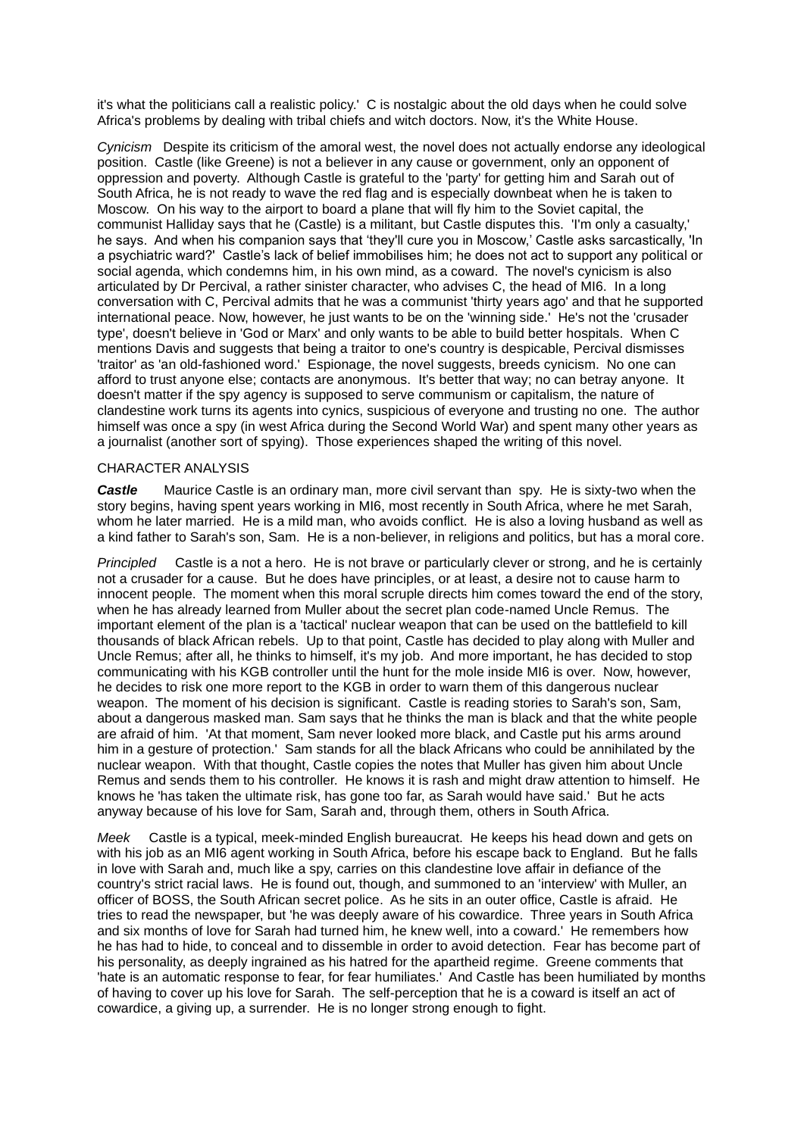it's what the politicians call a realistic policy.' C is nostalgic about the old days when he could solve Africa's problems by dealing with tribal chiefs and witch doctors. Now, it's the White House.

*Cynicism* Despite its criticism of the amoral west, the novel does not actually endorse any ideological position. Castle (like Greene) is not a believer in any cause or government, only an opponent of oppression and poverty. Although Castle is grateful to the 'party' for getting him and Sarah out of South Africa, he is not ready to wave the red flag and is especially downbeat when he is taken to Moscow. On his way to the airport to board a plane that will fly him to the Soviet capital, the communist Halliday says that he (Castle) is a militant, but Castle disputes this. 'I'm only a casualty,' he says. And when his companion says that 'they'll cure you in Moscow,' Castle asks sarcastically, 'In a psychiatric ward?' Castle's lack of belief immobilises him; he does not act to support any political or social agenda, which condemns him, in his own mind, as a coward. The novel's cynicism is also articulated by Dr Percival, a rather sinister character, who advises C, the head of MI6. In a long conversation with C, Percival admits that he was a communist 'thirty years ago' and that he supported international peace. Now, however, he just wants to be on the 'winning side.' He's not the 'crusader type', doesn't believe in 'God or Marx' and only wants to be able to build better hospitals. When C mentions Davis and suggests that being a traitor to one's country is despicable, Percival dismisses 'traitor' as 'an old-fashioned word.' Espionage, the novel suggests, breeds cynicism. No one can afford to trust anyone else; contacts are anonymous. It's better that way; no can betray anyone. It doesn't matter if the spy agency is supposed to serve communism or capitalism, the nature of clandestine work turns its agents into cynics, suspicious of everyone and trusting no one. The author himself was once a spy (in west Africa during the Second World War) and spent many other years as a journalist (another sort of spying). Those experiences shaped the writing of this novel.

# CHARACTER ANALYSIS

**Castle** Maurice Castle is an ordinary man, more civil servant than spy. He is sixty-two when the story begins, having spent years working in MI6, most recently in South Africa, where he met Sarah, whom he later married. He is a mild man, who avoids conflict. He is also a loving husband as well as a kind father to Sarah's son, Sam. He is a non-believer, in religions and politics, but has a moral core.

*Principled* Castle is a not a hero. He is not brave or particularly clever or strong, and he is certainly not a crusader for a cause. But he does have principles, or at least, a desire not to cause harm to innocent people. The moment when this moral scruple directs him comes toward the end of the story, when he has already learned from Muller about the secret plan code-named Uncle Remus. The important element of the plan is a 'tactical' nuclear weapon that can be used on the battlefield to kill thousands of black African rebels. Up to that point, Castle has decided to play along with Muller and Uncle Remus; after all, he thinks to himself, it's my job. And more important, he has decided to stop communicating with his KGB controller until the hunt for the mole inside MI6 is over. Now, however, he decides to risk one more report to the KGB in order to warn them of this dangerous nuclear weapon. The moment of his decision is significant. Castle is reading stories to Sarah's son, Sam, about a dangerous masked man. Sam says that he thinks the man is black and that the white people are afraid of him. 'At that moment, Sam never looked more black, and Castle put his arms around him in a gesture of protection.' Sam stands for all the black Africans who could be annihilated by the nuclear weapon. With that thought, Castle copies the notes that Muller has given him about Uncle Remus and sends them to his controller. He knows it is rash and might draw attention to himself. He knows he 'has taken the ultimate risk, has gone too far, as Sarah would have said.' But he acts anyway because of his love for Sam, Sarah and, through them, others in South Africa.

*Meek* Castle is a typical, meek-minded English bureaucrat. He keeps his head down and gets on with his job as an MI6 agent working in South Africa, before his escape back to England. But he falls in love with Sarah and, much like a spy, carries on this clandestine love affair in defiance of the country's strict racial laws. He is found out, though, and summoned to an 'interview' with Muller, an officer of BOSS, the South African secret police. As he sits in an outer office, Castle is afraid. He tries to read the newspaper, but 'he was deeply aware of his cowardice. Three years in South Africa and six months of love for Sarah had turned him, he knew well, into a coward.' He remembers how he has had to hide, to conceal and to dissemble in order to avoid detection. Fear has become part of his personality, as deeply ingrained as his hatred for the apartheid regime. Greene comments that 'hate is an automatic response to fear, for fear humiliates.' And Castle has been humiliated by months of having to cover up his love for Sarah. The self-perception that he is a coward is itself an act of cowardice, a giving up, a surrender. He is no longer strong enough to fight.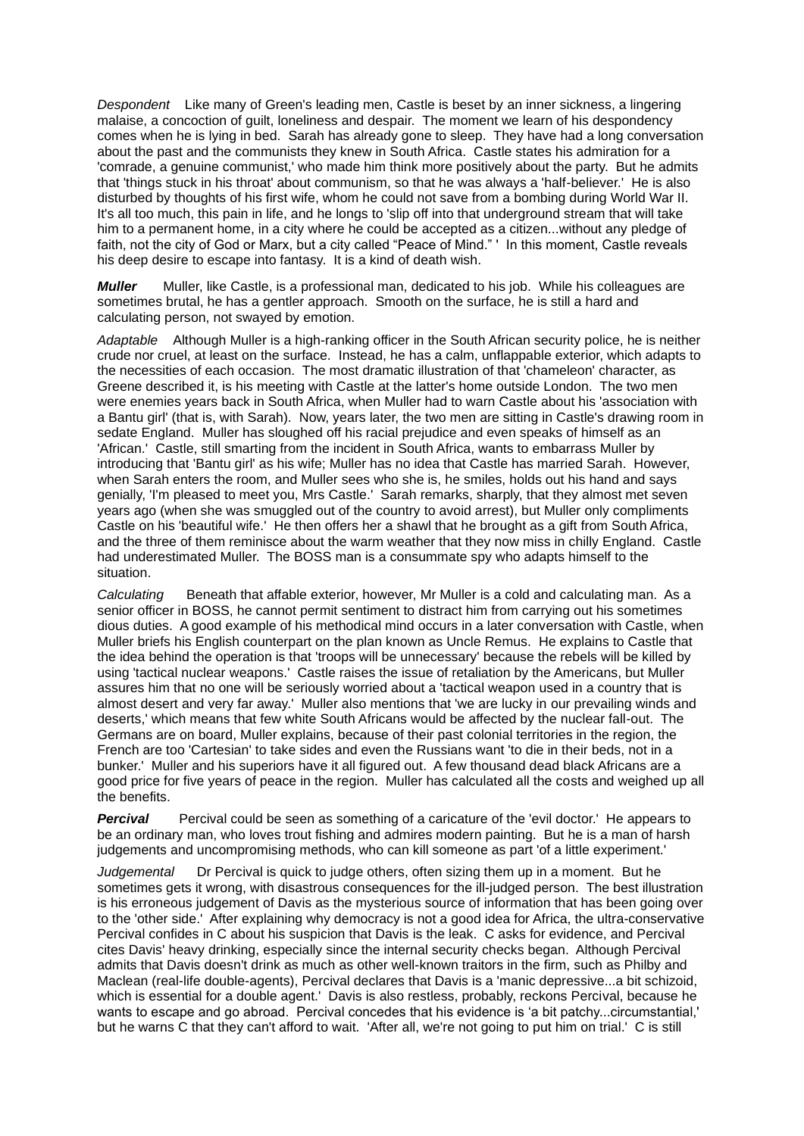*Despondent* Like many of Green's leading men, Castle is beset by an inner sickness, a lingering malaise, a concoction of guilt, loneliness and despair. The moment we learn of his despondency comes when he is lying in bed. Sarah has already gone to sleep. They have had a long conversation about the past and the communists they knew in South Africa. Castle states his admiration for a 'comrade, a genuine communist,' who made him think more positively about the party. But he admits that 'things stuck in his throat' about communism, so that he was always a 'half-believer.' He is also disturbed by thoughts of his first wife, whom he could not save from a bombing during World War II. It's all too much, this pain in life, and he longs to 'slip off into that underground stream that will take him to a permanent home, in a city where he could be accepted as a citizen...without any pledge of faith, not the city of God or Marx, but a city called "Peace of Mind." ' In this moment, Castle reveals his deep desire to escape into fantasy. It is a kind of death wish.

*Muller* Muller, like Castle, is a professional man, dedicated to his job. While his colleagues are sometimes brutal, he has a gentler approach. Smooth on the surface, he is still a hard and calculating person, not swayed by emotion.

*Adaptable* Although Muller is a high-ranking officer in the South African security police, he is neither crude nor cruel, at least on the surface. Instead, he has a calm, unflappable exterior, which adapts to the necessities of each occasion. The most dramatic illustration of that 'chameleon' character, as Greene described it, is his meeting with Castle at the latter's home outside London. The two men were enemies years back in South Africa, when Muller had to warn Castle about his 'association with a Bantu girl' (that is, with Sarah). Now, years later, the two men are sitting in Castle's drawing room in sedate England. Muller has sloughed off his racial prejudice and even speaks of himself as an 'African.' Castle, still smarting from the incident in South Africa, wants to embarrass Muller by introducing that 'Bantu girl' as his wife; Muller has no idea that Castle has married Sarah. However, when Sarah enters the room, and Muller sees who she is, he smiles, holds out his hand and says genially, 'I'm pleased to meet you, Mrs Castle.' Sarah remarks, sharply, that they almost met seven years ago (when she was smuggled out of the country to avoid arrest), but Muller only compliments Castle on his 'beautiful wife.' He then offers her a shawl that he brought as a gift from South Africa, and the three of them reminisce about the warm weather that they now miss in chilly England. Castle had underestimated Muller. The BOSS man is a consummate spy who adapts himself to the situation.

*Calculating* Beneath that affable exterior, however, Mr Muller is a cold and calculating man. As a senior officer in BOSS, he cannot permit sentiment to distract him from carrying out his sometimes dious duties. A good example of his methodical mind occurs in a later conversation with Castle, when Muller briefs his English counterpart on the plan known as Uncle Remus. He explains to Castle that the idea behind the operation is that 'troops will be unnecessary' because the rebels will be killed by using 'tactical nuclear weapons.' Castle raises the issue of retaliation by the Americans, but Muller assures him that no one will be seriously worried about a 'tactical weapon used in a country that is almost desert and very far away.' Muller also mentions that 'we are lucky in our prevailing winds and deserts,' which means that few white South Africans would be affected by the nuclear fall-out. The Germans are on board, Muller explains, because of their past colonial territories in the region, the French are too 'Cartesian' to take sides and even the Russians want 'to die in their beds, not in a bunker.' Muller and his superiors have it all figured out. A few thousand dead black Africans are a good price for five years of peace in the region. Muller has calculated all the costs and weighed up all the benefits.

**Percival** Percival could be seen as something of a caricature of the 'evil doctor.' He appears to be an ordinary man, who loves trout fishing and admires modern painting. But he is a man of harsh judgements and uncompromising methods, who can kill someone as part 'of a little experiment.'

*Judgemental* Dr Percival is quick to judge others, often sizing them up in a moment. But he sometimes gets it wrong, with disastrous consequences for the ill-judged person. The best illustration is his erroneous judgement of Davis as the mysterious source of information that has been going over to the 'other side.' After explaining why democracy is not a good idea for Africa, the ultra-conservative Percival confides in C about his suspicion that Davis is the leak. C asks for evidence, and Percival cites Davis' heavy drinking, especially since the internal security checks began. Although Percival admits that Davis doesn't drink as much as other well-known traitors in the firm, such as Philby and Maclean (real-life double-agents), Percival declares that Davis is a 'manic depressive...a bit schizoid, which is essential for a double agent.' Davis is also restless, probably, reckons Percival, because he wants to escape and go abroad. Percival concedes that his evidence is 'a bit patchy...circumstantial,' but he warns C that they can't afford to wait. 'After all, we're not going to put him on trial.' C is still